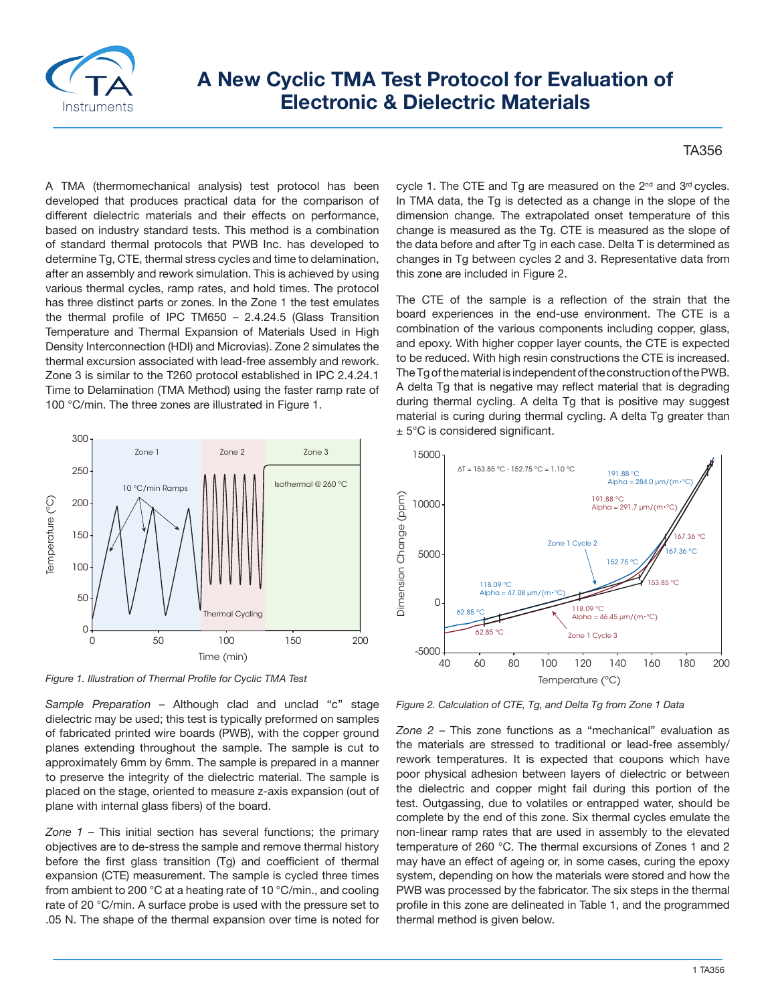

## **A New Cyclic TMA Test Protocol for Evaluation of Electronic & Dielectric Materials**

## TA356

A TMA (thermomechanical analysis) test protocol has been developed that produces practical data for the comparison of different dielectric materials and their effects on performance, based on industry standard tests. This method is a combination of standard thermal protocols that PWB Inc. has developed to determine Tg, CTE, thermal stress cycles and time to delamination, after an assembly and rework simulation. This is achieved by using various thermal cycles, ramp rates, and hold times. The protocol has three distinct parts or zones. In the Zone 1 the test emulates the thermal profile of IPC TM650 – 2.4.24.5 (Glass Transition Temperature and Thermal Expansion of Materials Used in High Density Interconnection (HDI) and Microvias). Zone 2 simulates the thermal excursion associated with lead-free assembly and rework. Zone 3 is similar to the T260 protocol established in IPC 2.4.24.1 Time to Delamination (TMA Method) using the faster ramp rate of 100 °C/min. The three zones are illustrated in Figure 1.



*Figure 1. Illustration of Thermal Profile for Cyclic TMA Test*

*Sample Preparation* – Although clad and unclad "c" stage dielectric may be used; this test is typically preformed on samples of fabricated printed wire boards (PWB), with the copper ground planes extending throughout the sample. The sample is cut to approximately 6mm by 6mm. The sample is prepared in a manner to preserve the integrity of the dielectric material. The sample is placed on the stage, oriented to measure z-axis expansion (out of plane with internal glass fibers) of the board.

*Zone 1* – This initial section has several functions; the primary objectives are to de-stress the sample and remove thermal history before the first glass transition (Tg) and coefficient of thermal expansion (CTE) measurement. The sample is cycled three times from ambient to 200 °C at a heating rate of 10 °C/min., and cooling rate of 20 °C/min. A surface probe is used with the pressure set to .05 N. The shape of the thermal expansion over time is noted for cycle 1. The CTE and Tq are measured on the 2<sup>nd</sup> and 3<sup>rd</sup> cycles. In TMA data, the Tg is detected as a change in the slope of the dimension change. The extrapolated onset temperature of this change is measured as the Tg. CTE is measured as the slope of the data before and after Tg in each case. Delta T is determined as changes in Tg between cycles 2 and 3. Representative data from this zone are included in Figure 2.

The CTE of the sample is a reflection of the strain that the board experiences in the end-use environment. The CTE is a combination of the various components including copper, glass, and epoxy. With higher copper layer counts, the CTE is expected to be reduced. With high resin constructions the CTE is increased. The Tg of the material is independent of the construction of the PWB. A delta Tg that is negative may reflect material that is degrading during thermal cycling. A delta Tg that is positive may suggest material is curing during thermal cycling. A delta Tg greater than ± 5°C is considered significant.



*Figure 2. Calculation of CTE, Tg, and Delta Tg from Zone 1 Data*

*Zone 2* – This zone functions as a "mechanical" evaluation as the materials are stressed to traditional or lead-free assembly/ rework temperatures. It is expected that coupons which have poor physical adhesion between layers of dielectric or between the dielectric and copper might fail during this portion of the test. Outgassing, due to volatiles or entrapped water, should be complete by the end of this zone. Six thermal cycles emulate the non-linear ramp rates that are used in assembly to the elevated temperature of 260 °C. The thermal excursions of Zones 1 and 2 may have an effect of ageing or, in some cases, curing the epoxy system, depending on how the materials were stored and how the PWB was processed by the fabricator. The six steps in the thermal profile in this zone are delineated in Table 1, and the programmed thermal method is given below.